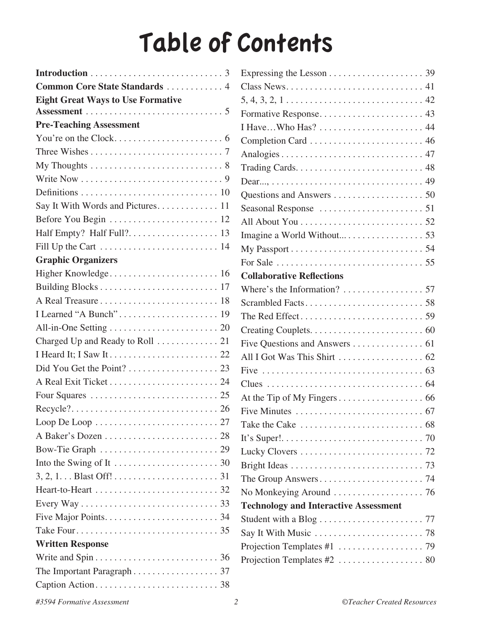## Table of Contents

| Common Core State Standards  4           |
|------------------------------------------|
| <b>Eight Great Ways to Use Formative</b> |
|                                          |
| <b>Pre-Teaching Assessment</b>           |
|                                          |
|                                          |
|                                          |
|                                          |
|                                          |
|                                          |
|                                          |
|                                          |
|                                          |
| <b>Graphic Organizers</b>                |
|                                          |
|                                          |
|                                          |
|                                          |
|                                          |
| Charged Up and Ready to Roll  21         |
|                                          |
|                                          |
|                                          |
|                                          |
|                                          |
|                                          |
|                                          |
|                                          |
|                                          |
|                                          |
|                                          |
|                                          |
|                                          |
|                                          |
| <b>Written Response</b>                  |
|                                          |
| The Important Paragraph 37               |
|                                          |

| Class News. $\dots \dots \dots \dots \dots \dots \dots \dots \dots \dots \dots 41$ |  |
|------------------------------------------------------------------------------------|--|
| $5, 4, 3, 2, 1, \ldots, \ldots, \ldots, \ldots, \ldots, \ldots, 42$                |  |
|                                                                                    |  |
| I Have Who Has?  44                                                                |  |
|                                                                                    |  |
|                                                                                    |  |
|                                                                                    |  |
|                                                                                    |  |
|                                                                                    |  |
|                                                                                    |  |
|                                                                                    |  |
|                                                                                    |  |
|                                                                                    |  |
|                                                                                    |  |
| <b>Collaborative Reflections</b>                                                   |  |
|                                                                                    |  |
|                                                                                    |  |
|                                                                                    |  |
|                                                                                    |  |
| Five Questions and Answers 61                                                      |  |
|                                                                                    |  |
|                                                                                    |  |
|                                                                                    |  |
|                                                                                    |  |
|                                                                                    |  |
|                                                                                    |  |
|                                                                                    |  |
|                                                                                    |  |
|                                                                                    |  |
|                                                                                    |  |
|                                                                                    |  |
| <b>Technology and Interactive Assessment</b>                                       |  |
|                                                                                    |  |
|                                                                                    |  |
|                                                                                    |  |
|                                                                                    |  |
|                                                                                    |  |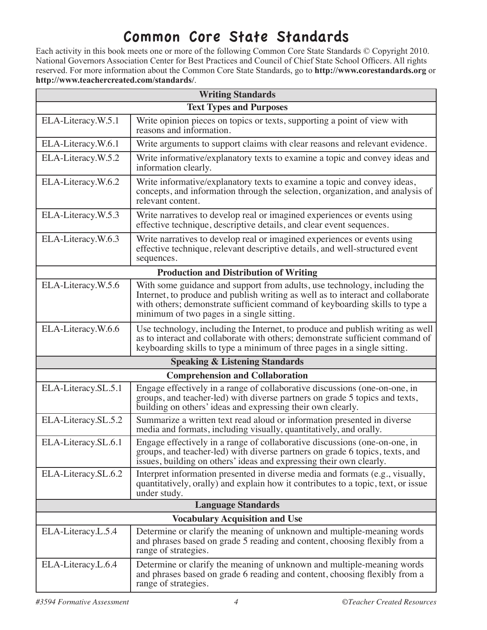## Common Core State Standards

Each activity in this book meets one or more of the following Common Core State Standards © Copyright 2010. National Governors Association Center for Best Practices and Council of Chief State School Officers. All rights reserved. For more information about the Common Core State Standards, go to **http://www.corestandards.org** or **http://www.teachercreated.com/standards/**.

| <b>Writing Standards</b>               |                                                                                                                                                                                                                                                                                          |  |  |  |
|----------------------------------------|------------------------------------------------------------------------------------------------------------------------------------------------------------------------------------------------------------------------------------------------------------------------------------------|--|--|--|
|                                        | <b>Text Types and Purposes</b>                                                                                                                                                                                                                                                           |  |  |  |
| ELA-Literacy.W.5.1                     | Write opinion pieces on topics or texts, supporting a point of view with<br>reasons and information.                                                                                                                                                                                     |  |  |  |
| ELA-Literacy.W.6.1                     | Write arguments to support claims with clear reasons and relevant evidence.                                                                                                                                                                                                              |  |  |  |
| ELA-Literacy.W.5.2                     | Write informative/explanatory texts to examine a topic and convey ideas and<br>information clearly.                                                                                                                                                                                      |  |  |  |
| ELA-Literacy.W.6.2                     | Write informative/explanatory texts to examine a topic and convey ideas,<br>concepts, and information through the selection, organization, and analysis of<br>relevant content.                                                                                                          |  |  |  |
| ELA-Literacy.W.5.3                     | Write narratives to develop real or imagined experiences or events using<br>effective technique, descriptive details, and clear event sequences.                                                                                                                                         |  |  |  |
| ELA-Literacy.W.6.3                     | Write narratives to develop real or imagined experiences or events using<br>effective technique, relevant descriptive details, and well-structured event<br>sequences.                                                                                                                   |  |  |  |
|                                        | <b>Production and Distribution of Writing</b>                                                                                                                                                                                                                                            |  |  |  |
| ELA-Literacy.W.5.6                     | With some guidance and support from adults, use technology, including the<br>Internet, to produce and publish writing as well as to interact and collaborate<br>with others; demonstrate sufficient command of keyboarding skills to type a<br>minimum of two pages in a single sitting. |  |  |  |
| ELA-Literacy.W.6.6                     | Use technology, including the Internet, to produce and publish writing as well<br>as to interact and collaborate with others; demonstrate sufficient command of<br>keyboarding skills to type a minimum of three pages in a single sitting.                                              |  |  |  |
|                                        | <b>Speaking &amp; Listening Standards</b>                                                                                                                                                                                                                                                |  |  |  |
| <b>Comprehension and Collaboration</b> |                                                                                                                                                                                                                                                                                          |  |  |  |
| ELA-Literacy.SL.5.1                    | Engage effectively in a range of collaborative discussions (one-on-one, in<br>groups, and teacher-led) with diverse partners on grade 5 topics and texts,<br>building on others' ideas and expressing their own clearly.                                                                 |  |  |  |
| ELA-Literacy.SL.5.2                    | Summarize a written text read aloud or information presented in diverse<br>media and formats, including visually, quantitatively, and orally.                                                                                                                                            |  |  |  |
| ELA-Literacy.SL.6.1                    | Engage effectively in a range of collaborative discussions (one-on-one, in<br>groups, and teacher-led) with diverse partners on grade 6 topics, texts, and<br>issues, building on others' ideas and expressing their own clearly.                                                        |  |  |  |
| ELA-Literacy.SL.6.2                    | Interpret information presented in diverse media and formats (e.g., visually,<br>quantitatively, orally) and explain how it contributes to a topic, text, or issue<br>under study.                                                                                                       |  |  |  |
|                                        | <b>Language Standards</b>                                                                                                                                                                                                                                                                |  |  |  |
| <b>Vocabulary Acquisition and Use</b>  |                                                                                                                                                                                                                                                                                          |  |  |  |
| ELA-Literacy.L.5.4                     | Determine or clarify the meaning of unknown and multiple-meaning words<br>and phrases based on grade 5 reading and content, choosing flexibly from a<br>range of strategies.                                                                                                             |  |  |  |
| ELA-Literacy.L.6.4                     | Determine or clarify the meaning of unknown and multiple-meaning words<br>and phrases based on grade 6 reading and content, choosing flexibly from a<br>range of strategies.                                                                                                             |  |  |  |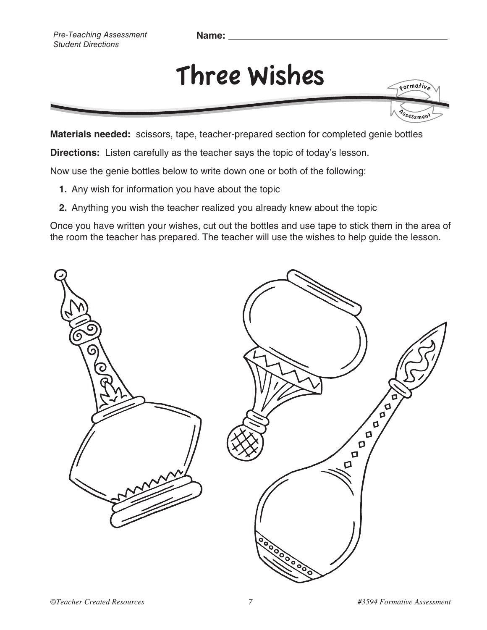**Name:** 

## Three Wishes

<sup>'s</sup>sessmen<sup>t</sup>

**Materials needed:** scissors, tape, teacher-prepared section for completed genie bottles

**Directions:** Listen carefully as the teacher says the topic of today's lesson.

Now use the genie bottles below to write down one or both of the following:

- **1.** Any wish for information you have about the topic
- **2.** Anything you wish the teacher realized you already knew about the topic

Once you have written your wishes, cut out the bottles and use tape to stick them in the area of the room the teacher has prepared. The teacher will use the wishes to help guide the lesson.



Formativ<sup>e</sup>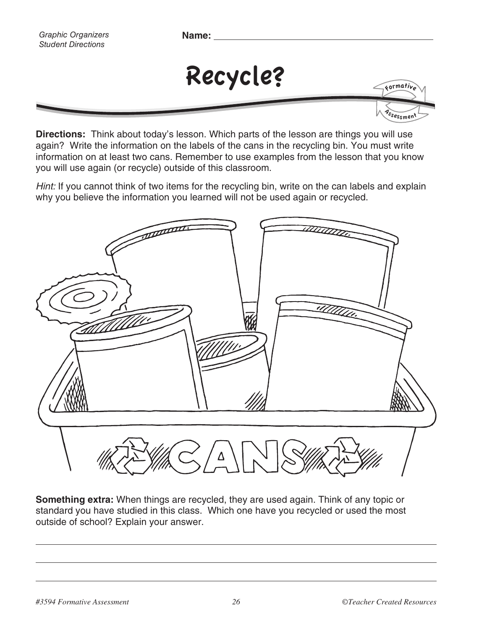*Graphic Organizers Student Directions*

**Name:** 



**Directions:** Think about today's lesson. Which parts of the lesson are things you will use again? Write the information on the labels of the cans in the recycling bin. You must write information on at least two cans. Remember to use examples from the lesson that you know you will use again (or recycle) outside of this classroom.

Hint: If you cannot think of two items for the recycling bin, write on the can labels and explain why you believe the information you learned will not be used again or recycled.



**Something extra:** When things are recycled, they are used again. Think of any topic or standard you have studied in this class. Which one have you recycled or used the most outside of school? Explain your answer.

<sup>'s</sup>sessmen'